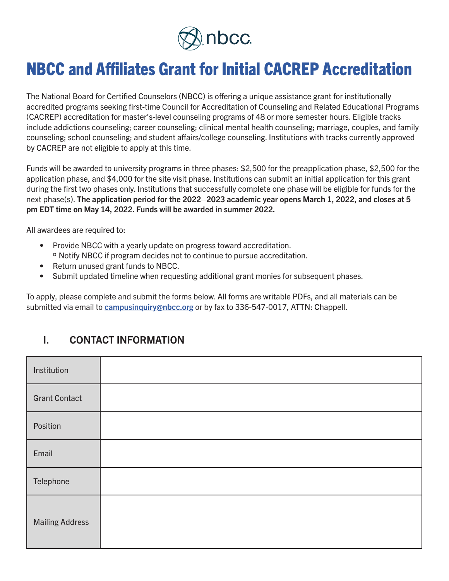

# NBCC and Affiliates Grant for Initial CACREP Accreditation

The National Board for Certified Counselors (NBCC) is offering a unique assistance grant for institutionally accredited programs seeking first-time Council for Accreditation of Counseling and Related Educational Programs (CACREP) accreditation for master's-level counseling programs of 48 or more semester hours. Eligible tracks include addictions counseling; career counseling; clinical mental health counseling; marriage, couples, and family counseling; school counseling; and student affairs/college counseling. Institutions with tracks currently approved by CACREP are not eligible to apply at this time.

Funds will be awarded to university programs in three phases: \$2,500 for the preapplication phase, \$2,500 for the application phase, and \$4,000 for the site visit phase. Institutions can submit an initial application for this grant during the first two phases only. Institutions that successfully complete one phase will be eligible for funds for the next phase(s). The application period for the 2022–2023 academic year opens March 1, 2022, and closes at 5 pm EDT time on May 14, 2022. Funds will be awarded in summer 2022.

All awardees are required to:

- Provide NBCC with a yearly update on progress toward accreditation. ° Notify NBCC if program decides not to continue to pursue accreditation.
- Return unused grant funds to NBCC.
- Submit updated timeline when requesting additional grant monies for subsequent phases.

To apply, please complete and submit the forms below. All forms are writable PDFs, and all materials can be submitted via email to campusinguiry@nbcc.org or by fax to 336-547-0017, ATTN: Chappell.

#### I. CONTACT INFORMATION

| Institution            |  |
|------------------------|--|
| <b>Grant Contact</b>   |  |
| Position               |  |
| Email                  |  |
| Telephone              |  |
| <b>Mailing Address</b> |  |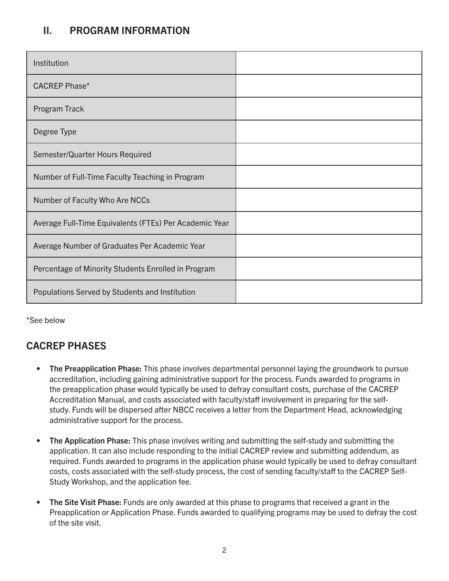### II. PROGRAM INFORMATION

| Institution                                            |  |
|--------------------------------------------------------|--|
| <b>CACREP Phase*</b>                                   |  |
| Program Track                                          |  |
| Degree Type                                            |  |
| Semester/Quarter Hours Required                        |  |
| Number of Full-Time Faculty Teaching in Program        |  |
| Number of Faculty Who Are NCCs                         |  |
| Average Full-Time Equivalents (FTEs) Per Academic Year |  |
| Average Number of Graduates Per Academic Year          |  |
| Percentage of Minority Students Enrolled in Program    |  |
| Populations Served by Students and Institution         |  |

\*See below

## CACREP PHASES

- The Preapplication Phase: This phase involves departmental personnel laying the groundwork to pursue accreditation, including gaining administrative support for the process. Funds awarded to programs in the preapplication phase would typically be used to defray consultant costs, purchase of the CACREP Accreditation Manual, and costs associated with faculty/staff involvement in preparing for the selfstudy. Funds will be dispersed after NBCC receives a letter from the Department Head, acknowledging administrative support for the process.
- The Application Phase: This phase involves writing and submitting the self-study and submitting the application. It can also include responding to the initial CACREP review and submitting addendum, as required. Funds awarded to programs in the application phase would typically be used to defray consultant costs, costs associated with the self-study process, the cost of sending faculty/staff to the CACREP Self-Study Workshop, and the application fee.
- The Site Visit Phase: Funds are only awarded at this phase to programs that received a grant in the Preapplication or Application Phase. Funds awarded to qualifying programs may be used to defray the cost of the site visit.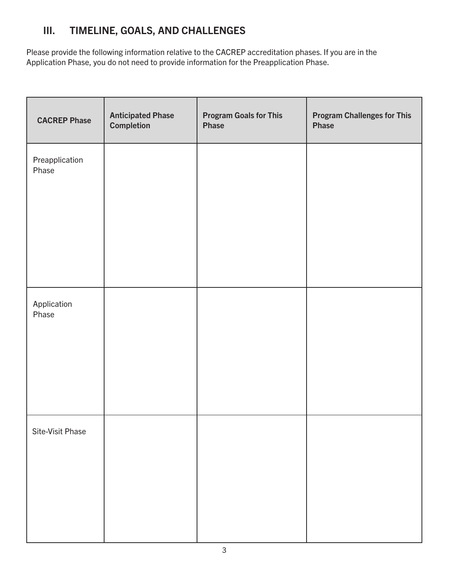## III. TIMELINE, GOALS, AND CHALLENGES

Please provide the following information relative to the CACREP accreditation phases. If you are in the Application Phase, you do not need to provide information for the Preapplication Phase.

| <b>CACREP Phase</b>     | <b>Anticipated Phase</b><br>Completion | <b>Program Goals for This</b><br>Phase | <b>Program Challenges for This</b><br>Phase |
|-------------------------|----------------------------------------|----------------------------------------|---------------------------------------------|
| Preapplication<br>Phase |                                        |                                        |                                             |
| Application<br>Phase    |                                        |                                        |                                             |
| Site-Visit Phase        |                                        |                                        |                                             |